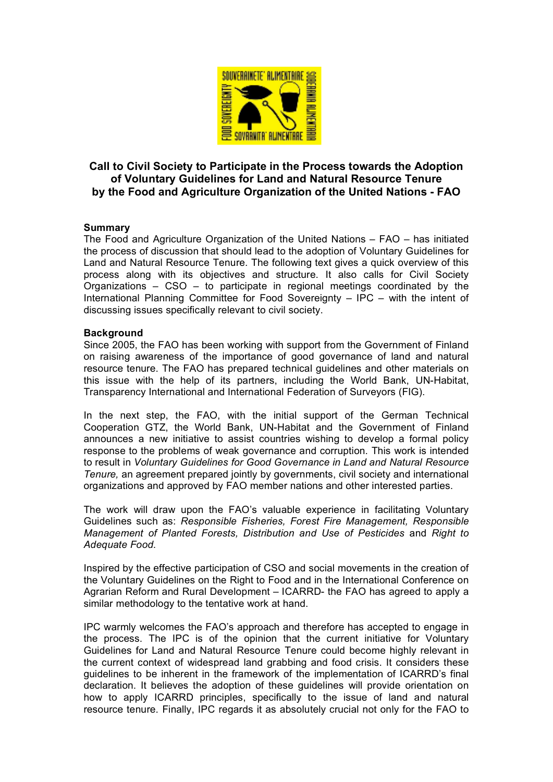

# **Call to Civil Society to Participate in the Process towards the Adoption of Voluntary Guidelines for Land and Natural Resource Tenure by the Food and Agriculture Organization of the United Nations - FAO**

### **Summary**

The Food and Agriculture Organization of the United Nations – FAO – has initiated the process of discussion that should lead to the adoption of Voluntary Guidelines for Land and Natural Resource Tenure. The following text gives a quick overview of this process along with its objectives and structure. It also calls for Civil Society Organizations – CSO – to participate in regional meetings coordinated by the International Planning Committee for Food Sovereignty – IPC – with the intent of discussing issues specifically relevant to civil society.

#### **Background**

Since 2005, the FAO has been working with support from the Government of Finland on raising awareness of the importance of good governance of land and natural resource tenure. The FAO has prepared technical guidelines and other materials on this issue with the help of its partners, including the World Bank, UN-Habitat, Transparency International and International Federation of Surveyors (FIG).

In the next step, the FAO, with the initial support of the German Technical Cooperation GTZ, the World Bank, UN-Habitat and the Government of Finland announces a new initiative to assist countries wishing to develop a formal policy response to the problems of weak governance and corruption. This work is intended to result in *Voluntary Guidelines for Good Governance in Land and Natural Resource Tenure,* an agreement prepared jointly by governments, civil society and international organizations and approved by FAO member nations and other interested parties.

The work will draw upon the FAO's valuable experience in facilitating Voluntary Guidelines such as: *Responsible Fisheries, Forest Fire Management, Responsible Management of Planted Forests, Distribution and Use of Pesticides* and *Right to Adequate Food*.

Inspired by the effective participation of CSO and social movements in the creation of the Voluntary Guidelines on the Right to Food and in the International Conference on Agrarian Reform and Rural Development – ICARRD- the FAO has agreed to apply a similar methodology to the tentative work at hand.

IPC warmly welcomes the FAO's approach and therefore has accepted to engage in the process. The IPC is of the opinion that the current initiative for Voluntary Guidelines for Land and Natural Resource Tenure could become highly relevant in the current context of widespread land grabbing and food crisis. It considers these guidelines to be inherent in the framework of the implementation of ICARRD's final declaration. It believes the adoption of these guidelines will provide orientation on how to apply ICARRD principles, specifically to the issue of land and natural resource tenure. Finally, IPC regards it as absolutely crucial not only for the FAO to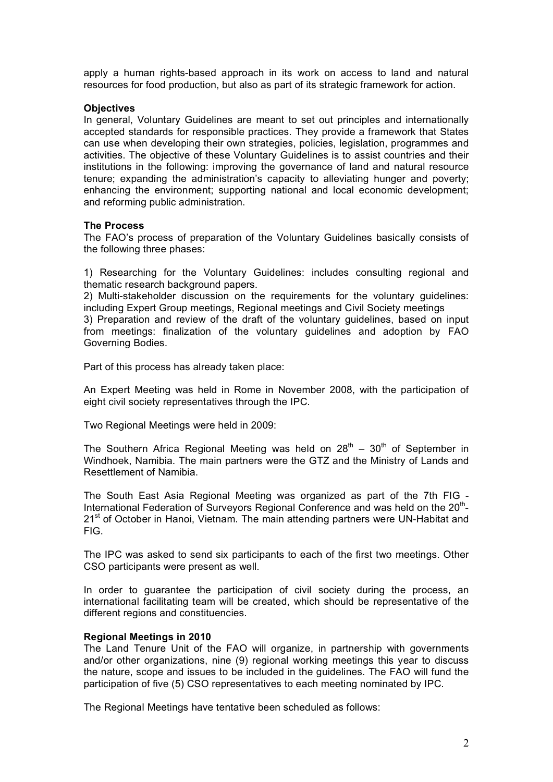apply a human rights-based approach in its work on access to land and natural resources for food production, but also as part of its strategic framework for action.

#### **Objectives**

In general, Voluntary Guidelines are meant to set out principles and internationally accepted standards for responsible practices. They provide a framework that States can use when developing their own strategies, policies, legislation, programmes and activities. The objective of these Voluntary Guidelines is to assist countries and their institutions in the following: improving the governance of land and natural resource tenure; expanding the administration's capacity to alleviating hunger and poverty; enhancing the environment; supporting national and local economic development; and reforming public administration.

### **The Process**

The FAO's process of preparation of the Voluntary Guidelines basically consists of the following three phases:

1) Researching for the Voluntary Guidelines: includes consulting regional and thematic research background papers.

2) Multi-stakeholder discussion on the requirements for the voluntary guidelines: including Expert Group meetings, Regional meetings and Civil Society meetings

3) Preparation and review of the draft of the voluntary guidelines, based on input from meetings: finalization of the voluntary guidelines and adoption by FAO Governing Bodies.

Part of this process has already taken place:

An Expert Meeting was held in Rome in November 2008, with the participation of eight civil society representatives through the IPC.

Two Regional Meetings were held in 2009:

The Southern Africa Regional Meeting was held on  $28<sup>th</sup> - 30<sup>th</sup>$  of September in Windhoek, Namibia. The main partners were the GTZ and the Ministry of Lands and Resettlement of Namibia.

The South East Asia Regional Meeting was organized as part of the 7th FIG - International Federation of Surveyors Regional Conference and was held on the  $20<sup>th</sup>$ -21<sup>st</sup> of October in Hanoi, Vietnam. The main attending partners were UN-Habitat and FIG.

The IPC was asked to send six participants to each of the first two meetings. Other CSO participants were present as well.

In order to guarantee the participation of civil society during the process, an international facilitating team will be created, which should be representative of the different regions and constituencies.

# **Regional Meetings in 2010**

The Land Tenure Unit of the FAO will organize, in partnership with governments and/or other organizations, nine (9) regional working meetings this year to discuss the nature, scope and issues to be included in the guidelines. The FAO will fund the participation of five (5) CSO representatives to each meeting nominated by IPC.

The Regional Meetings have tentative been scheduled as follows: